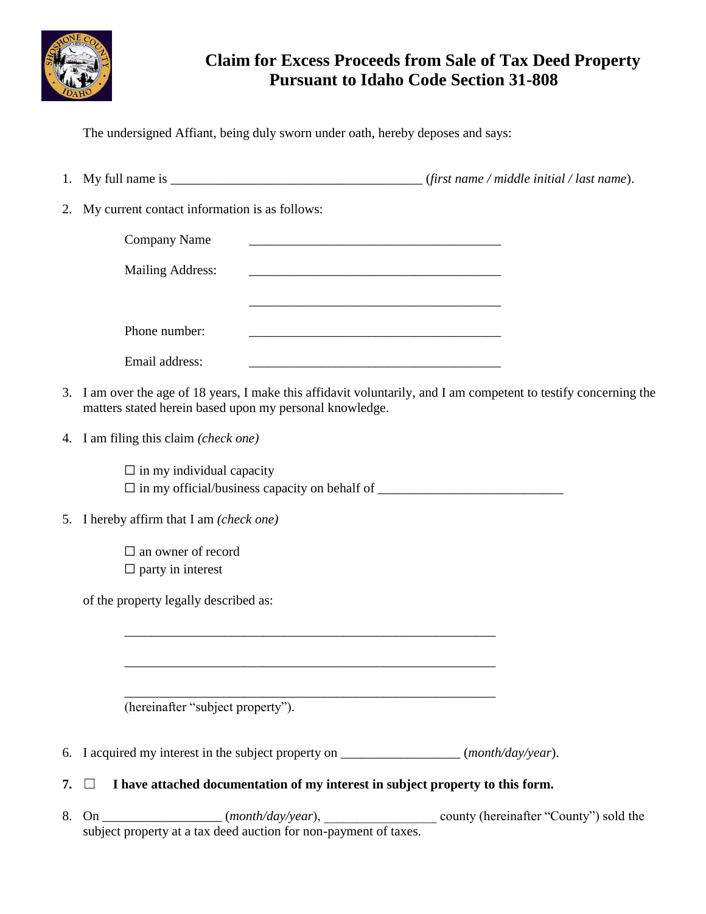

## **Claim for Excess Proceeds from Sale of Tax Deed Property Pursuant to Idaho Code Section 31-808**

The undersigned Affiant, being duly sworn under oath, hereby deposes and says:

- 1. My full name is  $\frac{1}{2}$  (*first name / middle initial / last name*).
- 2. My current contact information is as follows:

| <b>Company Name</b>     |  |  |
|-------------------------|--|--|
| <b>Mailing Address:</b> |  |  |
|                         |  |  |
|                         |  |  |
| Phone number:           |  |  |
| Email address:          |  |  |

- 3. I am over the age of 18 years, I make this affidavit voluntarily, and I am competent to testify concerning the matters stated herein based upon my personal knowledge.
- 4. I am filing this claim *(check one)*

 $\Box$  in my individual capacity ☐ in my official/business capacity on behalf of \_\_\_\_\_\_\_\_\_\_\_\_\_\_\_\_\_\_\_\_\_\_\_\_\_\_\_\_

- 5. I hereby affirm that I am *(check one)*
	- □ an owner of record  $\Box$  party in interest

of the property legally described as:

(hereinafter "subject property").

6. I acquired my interest in the subject property on \_\_\_\_\_\_\_\_\_\_\_\_\_\_\_\_\_\_ (*month/day/year*).

\_\_\_\_\_\_\_\_\_\_\_\_\_\_\_\_\_\_\_\_\_\_\_\_\_\_\_\_\_\_\_\_\_\_\_\_\_\_\_\_\_\_\_\_\_\_\_\_\_\_\_\_\_\_\_\_

\_\_\_\_\_\_\_\_\_\_\_\_\_\_\_\_\_\_\_\_\_\_\_\_\_\_\_\_\_\_\_\_\_\_\_\_\_\_\_\_\_\_\_\_\_\_\_\_\_\_\_\_\_\_\_\_

- **7.** ☐ **I have attached documentation of my interest in subject property to this form.**
- 8. On \_\_\_\_\_\_\_\_\_\_\_\_\_\_\_\_\_\_\_ (*month/day/year*), \_\_\_\_\_\_\_\_\_\_\_\_\_\_\_\_\_\_\_\_ county (hereinafter "County") sold the subject property at a tax deed auction for non-payment of taxes.